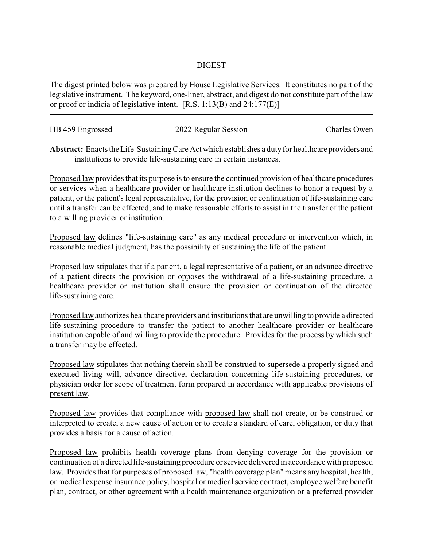## DIGEST

The digest printed below was prepared by House Legislative Services. It constitutes no part of the legislative instrument. The keyword, one-liner, abstract, and digest do not constitute part of the law or proof or indicia of legislative intent. [R.S. 1:13(B) and 24:177(E)]

| HB 459 Engrossed | 2022 Regular Session | Charles Owen |
|------------------|----------------------|--------------|
|                  |                      |              |

Abstract: Enacts the Life-Sustaining Care Act which establishes a duty for healthcare providers and institutions to provide life-sustaining care in certain instances.

Proposed law provides that its purpose is to ensure the continued provision of healthcare procedures or services when a healthcare provider or healthcare institution declines to honor a request by a patient, or the patient's legal representative, for the provision or continuation of life-sustaining care until a transfer can be effected, and to make reasonable efforts to assist in the transfer of the patient to a willing provider or institution.

Proposed law defines "life-sustaining care" as any medical procedure or intervention which, in reasonable medical judgment, has the possibility of sustaining the life of the patient.

Proposed law stipulates that if a patient, a legal representative of a patient, or an advance directive of a patient directs the provision or opposes the withdrawal of a life-sustaining procedure, a healthcare provider or institution shall ensure the provision or continuation of the directed life-sustaining care.

Proposed law authorizes healthcare providers and institutions that are unwilling to provide a directed life-sustaining procedure to transfer the patient to another healthcare provider or healthcare institution capable of and willing to provide the procedure. Provides for the process by which such a transfer may be effected.

Proposed law stipulates that nothing therein shall be construed to supersede a properly signed and executed living will, advance directive, declaration concerning life-sustaining procedures, or physician order for scope of treatment form prepared in accordance with applicable provisions of present law.

Proposed law provides that compliance with proposed law shall not create, or be construed or interpreted to create, a new cause of action or to create a standard of care, obligation, or duty that provides a basis for a cause of action.

Proposed law prohibits health coverage plans from denying coverage for the provision or continuation of a directed life-sustaining procedure or service delivered in accordance with proposed law. Provides that for purposes of proposed law, "health coverage plan" means any hospital, health, or medical expense insurance policy, hospital or medical service contract, employee welfare benefit plan, contract, or other agreement with a health maintenance organization or a preferred provider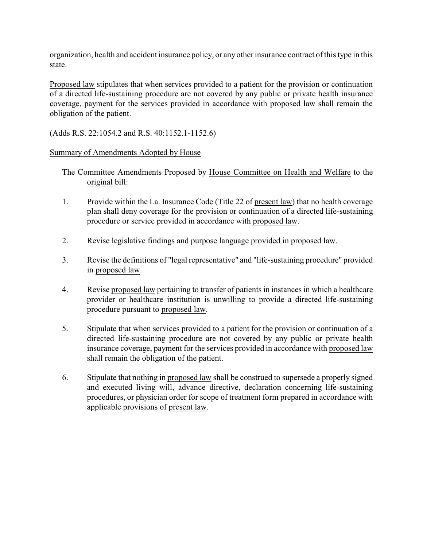organization, health and accident insurance policy, or anyother insurance contract of this type in this state.

Proposed law stipulates that when services provided to a patient for the provision or continuation of a directed life-sustaining procedure are not covered by any public or private health insurance coverage, payment for the services provided in accordance with proposed law shall remain the obligation of the patient.

(Adds R.S. 22:1054.2 and R.S. 40:1152.1-1152.6)

## Summary of Amendments Adopted by House

- The Committee Amendments Proposed by House Committee on Health and Welfare to the original bill:
- 1. Provide within the La. Insurance Code (Title 22 of present law) that no health coverage plan shall deny coverage for the provision or continuation of a directed life-sustaining procedure or service provided in accordance with proposed law.
- 2. Revise legislative findings and purpose language provided in proposed law.
- 3. Revise the definitions of "legal representative" and "life-sustaining procedure" provided in proposed law.
- 4. Revise proposed law pertaining to transfer of patients in instances in which a healthcare provider or healthcare institution is unwilling to provide a directed life-sustaining procedure pursuant to proposed law.
- 5. Stipulate that when services provided to a patient for the provision or continuation of a directed life-sustaining procedure are not covered by any public or private health insurance coverage, payment for the services provided in accordance with proposed law shall remain the obligation of the patient.
- 6. Stipulate that nothing in proposed law shall be construed to supersede a properly signed and executed living will, advance directive, declaration concerning life-sustaining procedures, or physician order for scope of treatment form prepared in accordance with applicable provisions of present law.